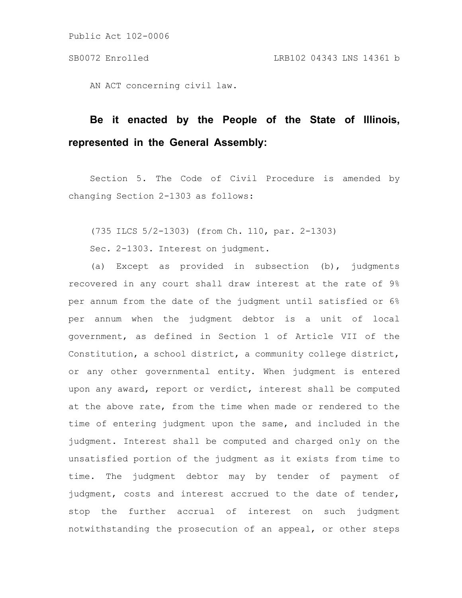Public Act 102-0006

AN ACT concerning civil law.

## **Be it enacted by the People of the State of Illinois, represented in the General Assembly:**

Section 5. The Code of Civil Procedure is amended by changing Section 2-1303 as follows:

(735 ILCS 5/2-1303) (from Ch. 110, par. 2-1303)

Sec. 2-1303. Interest on judgment.

(a) Except as provided in subsection (b), judgments recovered in any court shall draw interest at the rate of 9% per annum from the date of the judgment until satisfied or 6% per annum when the judgment debtor is a unit of local government, as defined in Section 1 of Article VII of the Constitution, a school district, a community college district, or any other governmental entity. When judgment is entered upon any award, report or verdict, interest shall be computed at the above rate, from the time when made or rendered to the time of entering judgment upon the same, and included in the judgment. Interest shall be computed and charged only on the unsatisfied portion of the judgment as it exists from time to time. The judgment debtor may by tender of payment of judgment, costs and interest accrued to the date of tender, stop the further accrual of interest on such judgment notwithstanding the prosecution of an appeal, or other steps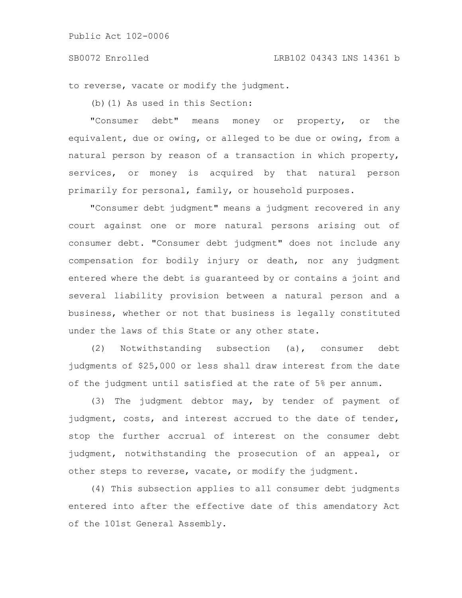## SB0072 Enrolled LRB102 04343 LNS 14361 b

to reverse, vacate or modify the judgment.

(b)(1) As used in this Section:

"Consumer debt" means money or property, or the equivalent, due or owing, or alleged to be due or owing, from a natural person by reason of a transaction in which property, services, or money is acquired by that natural person primarily for personal, family, or household purposes.

"Consumer debt judgment" means a judgment recovered in any court against one or more natural persons arising out of consumer debt. "Consumer debt judgment" does not include any compensation for bodily injury or death, nor any judgment entered where the debt is guaranteed by or contains a joint and several liability provision between a natural person and a business, whether or not that business is legally constituted under the laws of this State or any other state.

(2) Notwithstanding subsection (a), consumer debt judgments of \$25,000 or less shall draw interest from the date of the judgment until satisfied at the rate of 5% per annum.

(3) The judgment debtor may, by tender of payment of judgment, costs, and interest accrued to the date of tender, stop the further accrual of interest on the consumer debt judgment, notwithstanding the prosecution of an appeal, or other steps to reverse, vacate, or modify the judgment.

(4) This subsection applies to all consumer debt judgments entered into after the effective date of this amendatory Act of the 101st General Assembly.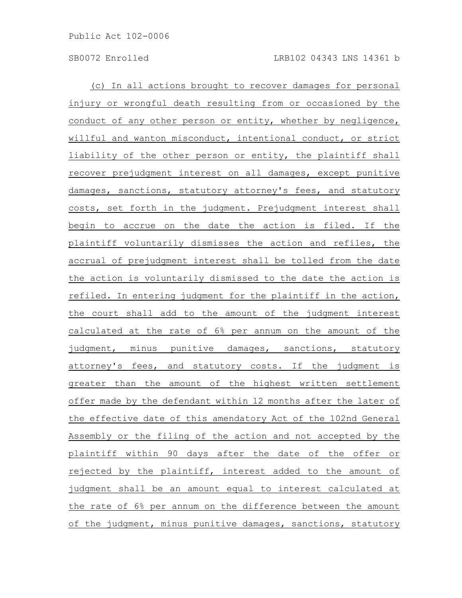(c) In all actions brought to recover damages for personal injury or wrongful death resulting from or occasioned by the conduct of any other person or entity, whether by negligence, willful and wanton misconduct, intentional conduct, or strict liability of the other person or entity, the plaintiff shall recover prejudgment interest on all damages, except punitive damages, sanctions, statutory attorney's fees, and statutory costs, set forth in the judgment. Prejudgment interest shall begin to accrue on the date the action is filed. If the plaintiff voluntarily dismisses the action and refiles, the accrual of prejudgment interest shall be tolled from the date the action is voluntarily dismissed to the date the action is refiled. In entering judgment for the plaintiff in the action, the court shall add to the amount of the judgment interest calculated at the rate of 6% per annum on the amount of the judgment, minus punitive damages, sanctions, statutory attorney's fees, and statutory costs. If the judgment is greater than the amount of the highest written settlement offer made by the defendant within 12 months after the later of the effective date of this amendatory Act of the 102nd General Assembly or the filing of the action and not accepted by the plaintiff within 90 days after the date of the offer or rejected by the plaintiff, interest added to the amount of judgment shall be an amount equal to interest calculated at the rate of 6% per annum on the difference between the amount of the judgment, minus punitive damages, sanctions, statutory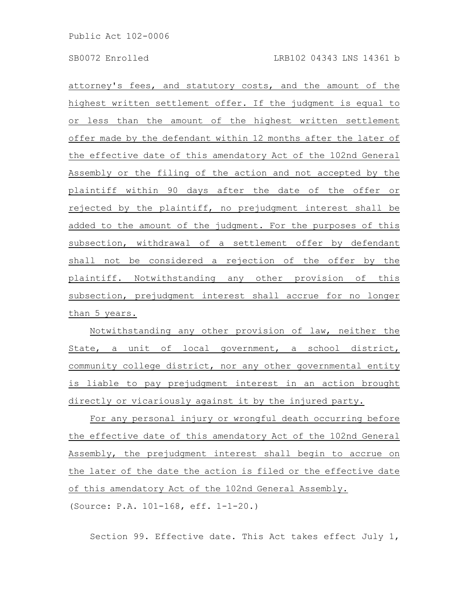attorney's fees, and statutory costs, and the amount of the highest written settlement offer. If the judgment is equal to or less than the amount of the highest written settlement offer made by the defendant within 12 months after the later of the effective date of this amendatory Act of the 102nd General Assembly or the filing of the action and not accepted by the plaintiff within 90 days after the date of the offer or rejected by the plaintiff, no prejudgment interest shall be added to the amount of the judgment. For the purposes of this subsection, withdrawal of a settlement offer by defendant shall not be considered a rejection of the offer by the plaintiff. Notwithstanding any other provision of this subsection, prejudgment interest shall accrue for no longer than 5 years.

Notwithstanding any other provision of law, neither the State, a unit of local government, a school district, community college district, nor any other governmental entity is liable to pay prejudgment interest in an action brought directly or vicariously against it by the injured party.

For any personal injury or wrongful death occurring before the effective date of this amendatory Act of the 102nd General Assembly, the prejudgment interest shall begin to accrue on the later of the date the action is filed or the effective date of this amendatory Act of the 102nd General Assembly. (Source: P.A. 101-168, eff. 1-1-20.)

Section 99. Effective date. This Act takes effect July 1,